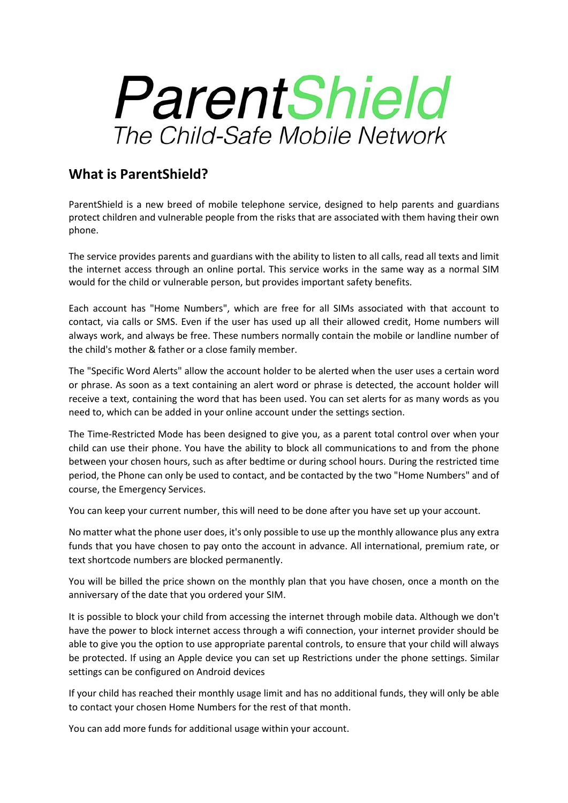# ParentShield The Child-Safe Mobile Network

## **What is ParentShield?**

ParentShield is a new breed of mobile telephone service, designed to help parents and guardians protect children and vulnerable people from the risks that are associated with them having their own phone.

The service provides parents and guardians with the ability to listen to all calls, read all texts and limit the internet access through an online portal. This service works in the same way as a normal SIM would for the child or vulnerable person, but provides important safety benefits.

Each account has "Home Numbers", which are free for all SIMs associated with that account to contact, via calls or SMS. Even if the user has used up all their allowed credit, Home numbers will always work, and always be free. These numbers normally contain the mobile or landline number of the child's mother & father or a close family member.

The "Specific Word Alerts" allow the account holder to be alerted when the user uses a certain word or phrase. As soon as a text containing an alert word or phrase is detected, the account holder will receive a text, containing the word that has been used. You can set alerts for as many words as you need to, which can be added in your online account under the settings section.

The Time-Restricted Mode has been designed to give you, as a parent total control over when your child can use their phone. You have the ability to block all communications to and from the phone between your chosen hours, such as after bedtime or during school hours. During the restricted time period, the Phone can only be used to contact, and be contacted by the two "Home Numbers" and of course, the Emergency Services.

You can keep your current number, this will need to be done after you have set up your account.

No matter what the phone user does, it's only possible to use up the monthly allowance plus any extra funds that you have chosen to pay onto the account in advance. All international, premium rate, or text shortcode numbers are blocked permanently.

You will be billed the price shown on the monthly plan that you have chosen, once a month on the anniversary of the date that you ordered your SIM.

It is possible to block your child from accessing the internet through mobile data. Although we don't have the power to block internet access through a wifi connection, your internet provider should be able to give you the option to use appropriate parental controls, to ensure that your child will always be protected. If using an Apple device you can set up Restrictions under the phone settings. Similar settings can be configured on Android devices

If your child has reached their monthly usage limit and has no additional funds, they will only be able to contact your chosen Home Numbers for the rest of that month.

You can add more funds for additional usage within your account.